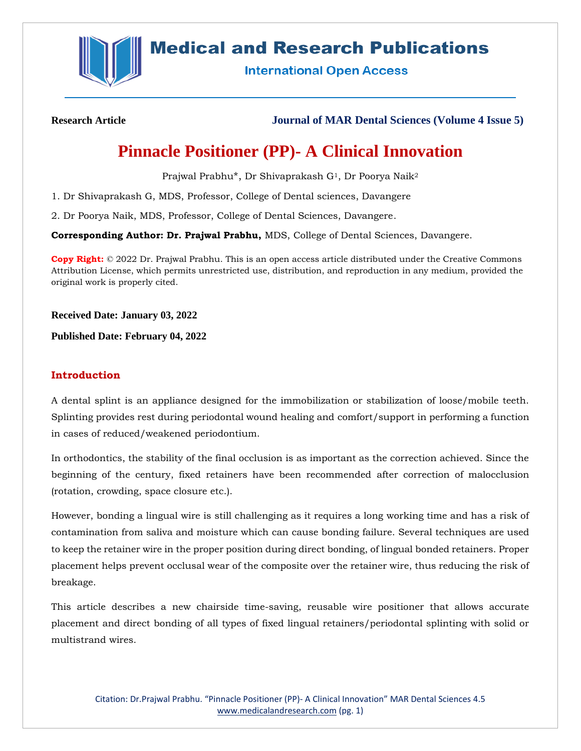

## **Medical and Research Publications**

**International Open Access** 

**Research Article Journal of MAR Dental Sciences (Volume 4 Issue 5)**

# **Pinnacle Positioner (PP)- A Clinical Innovation**

Prajwal Prabhu\*, Dr Shivaprakash G<sup>1</sup>, Dr Poorya Naik<sup>2</sup>

1. Dr Shivaprakash G, MDS, Professor, College of Dental sciences, Davangere

2. Dr Poorya Naik, MDS, Professor, College of Dental Sciences, Davangere.

**Corresponding Author: Dr. Prajwal Prabhu,** MDS, College of Dental Sciences, Davangere.

**Copy Right:** © 2022 Dr. Prajwal Prabhu. This is an open access article distributed under the Creative Commons Attribution License, which permits unrestricted use, distribution, and reproduction in any medium, provided the original work is properly cited.

**Received Date: January 03, 2022**

**Published Date: February 04, 2022**

#### **Introduction**

A dental splint is an appliance designed for the immobilization or stabilization of loose/mobile teeth. Splinting provides rest during periodontal wound healing and comfort/support in performing a function in cases of reduced/weakened periodontium.

In orthodontics, the stability of the final occlusion is as important as the correction achieved. Since the beginning of the century, fixed retainers have been recommended after correction of malocclusion (rotation, crowding, space closure etc.).

However, bonding a lingual wire is still challenging as it requires a long working time and has a risk of contamination from saliva and moisture which can cause bonding failure. Several techniques are used to keep the retainer wire in the proper position during direct bonding, of lingual bonded retainers. Proper placement helps prevent occlusal wear of the composite over the retainer wire, thus reducing the risk of breakage.

This article describes a new chairside time-saving, reusable wire positioner that allows accurate placement and direct bonding of all types of fixed lingual retainers/periodontal splinting with solid or multistrand wires.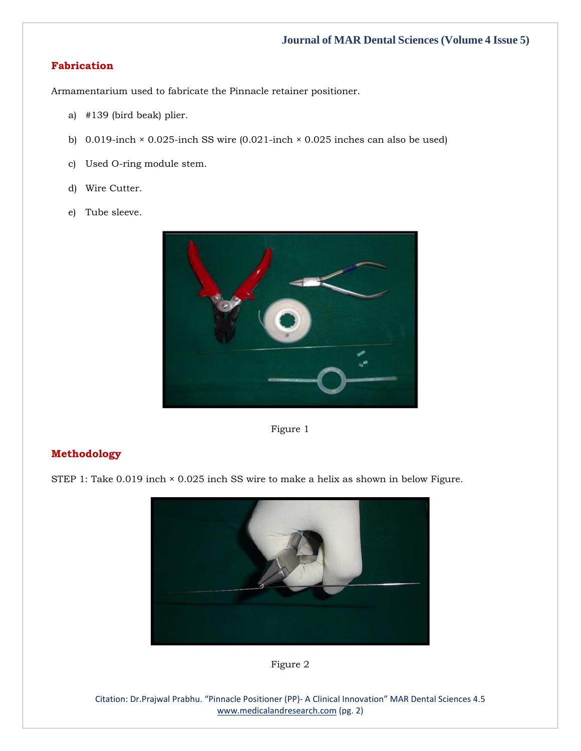## **Fabrication**

Armamentarium used to fabricate the Pinnacle retainer positioner.

- a) #139 (bird beak) plier.
- b) 0.019-inch × 0.025-inch SS wire (0.021-inch × 0.025 inches can also be used)
- c) Used O-ring module stem.
- d) Wire Cutter.
- e) Tube sleeve.



Figure 1

## **Methodology**

STEP 1: Take  $0.019$  inch  $\times$  0.025 inch SS wire to make a helix as shown in below Figure.





Citation: Dr.Prajwal Prabhu. "Pinnacle Positioner (PP)- A Clinical Innovation" MAR Dental Sciences 4.5 [www.medicalandresearch.com](http://www.medicalandresearch.com/) (pg. 2)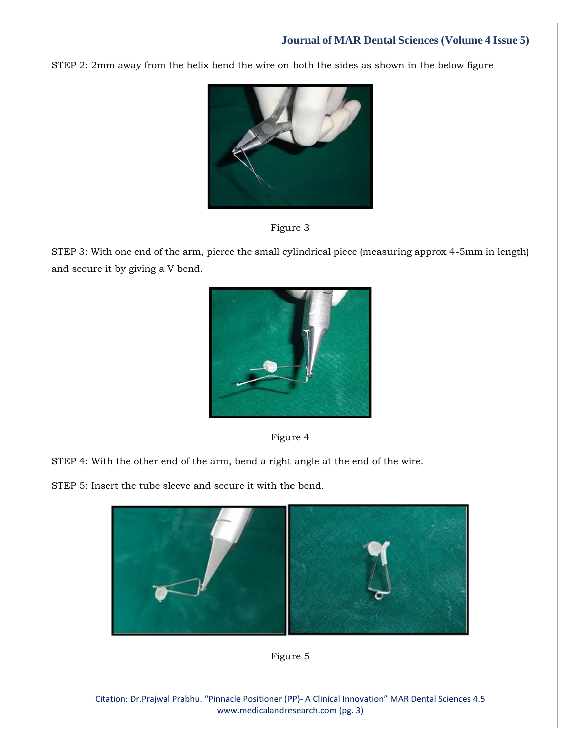## **Journal of MAR Dental Sciences (Volume 4 Issue 5)**

STEP 2: 2mm away from the helix bend the wire on both the sides as shown in the below figure





STEP 3: With one end of the arm, pierce the small cylindrical piece (measuring approx 4-5mm in length) and secure it by giving a V bend.





STEP 4: With the other end of the arm, bend a right angle at the end of the wire.

STEP 5: Insert the tube sleeve and secure it with the bend.





Citation: Dr.Prajwal Prabhu. "Pinnacle Positioner (PP)- A Clinical Innovation" MAR Dental Sciences 4.5 [www.medicalandresearch.com](http://www.medicalandresearch.com/) (pg. 3)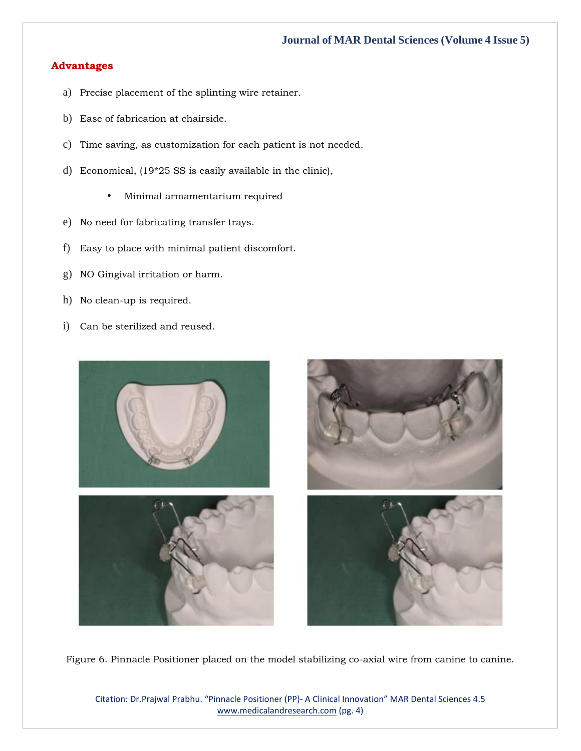### **Journal of MAR Dental Sciences (Volume 4 Issue 5)**

#### **Advantages**

- a) Precise placement of the splinting wire retainer.
- b) Ease of fabrication at chairside.
- c) Time saving, as customization for each patient is not needed.
- d) Economical, (19\*25 SS is easily available in the clinic),
	- Minimal armamentarium required
- e) No need for fabricating transfer trays.
- f) Easy to place with minimal patient discomfort.
- g) NO Gingival irritation or harm.
- h) No clean-up is required.
- i) Can be sterilized and reused.



Figure 6. Pinnacle Positioner placed on the model stabilizing co-axial wire from canine to canine.

Citation: Dr.Prajwal Prabhu. "Pinnacle Positioner (PP)- A Clinical Innovation" MAR Dental Sciences 4.5 [www.medicalandresearch.com](http://www.medicalandresearch.com/) (pg. 4)